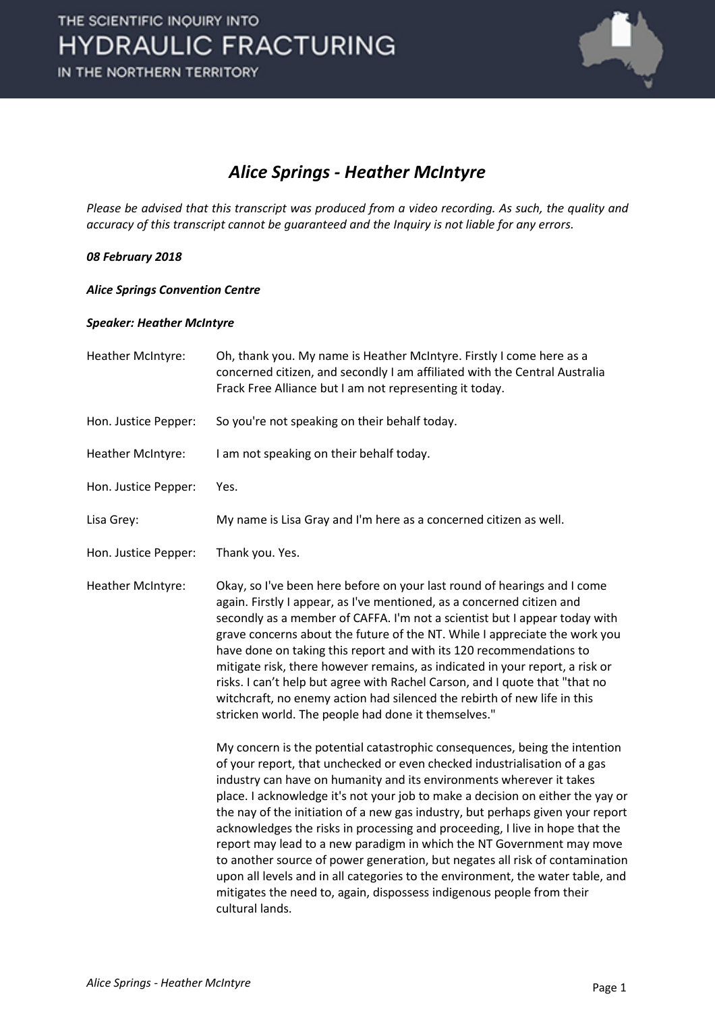

### *Alice Springs - Heather McIntyre*

*Please be advised that this transcript was produced from a video recording. As such, the quality and accuracy of this transcript cannot be guaranteed and the Inquiry is not liable for any errors.*

### *08 February 2018*

#### *Alice Springs Convention Centre*

#### *Speaker: Heather McIntyre*

Heather McIntyre: Oh, thank you. My name is Heather McIntyre. Firstly I come here as a concerned citizen, and secondly I am affiliated with the Central Australia Frack Free Alliance but I am not representing it today. Hon. Justice Pepper: So you're not speaking on their behalf today. Heather McIntyre: I am not speaking on their behalf today. Hon. Justice Pepper: Yes. Lisa Grey: My name is Lisa Gray and I'm here as a concerned citizen as well. Hon. Justice Pepper: Thank you. Yes. Heather McIntyre: Okay, so I've been here before on your last round of hearings and I come again. Firstly I appear, as I've mentioned, as a concerned citizen and secondly as a member of CAFFA. I'm not a scientist but I appear today with grave concerns about the future of the NT. While I appreciate the work you have done on taking this report and with its 120 recommendations to mitigate risk, there however remains, as indicated in your report, a risk or risks. I can't help but agree with Rachel Carson, and I quote that "that no witchcraft, no enemy action had silenced the rebirth of new life in this stricken world. The people had done it themselves." My concern is the potential catastrophic consequences, being the intention of your report, that unchecked or even checked industrialisation of a gas industry can have on humanity and its environments wherever it takes place. I acknowledge it's not your job to make a decision on either the yay or the nay of the initiation of a new gas industry, but perhaps given your report acknowledges the risks in processing and proceeding, I live in hope that the report may lead to a new paradigm in which the NT Government may move to another source of power generation, but negates all risk of contamination upon all levels and in all categories to the environment, the water table, and mitigates the need to, again, dispossess indigenous people from their cultural lands.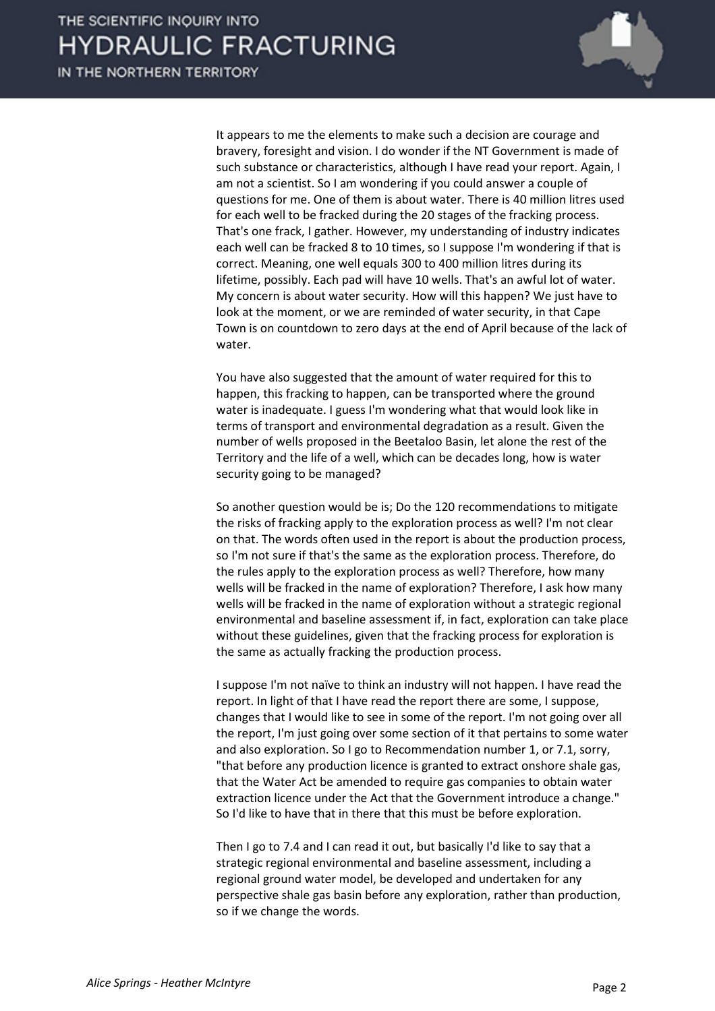IN THE NORTHERN TERRITORY



It appears to me the elements to make such a decision are courage and bravery, foresight and vision. I do wonder if the NT Government is made of such substance or characteristics, although I have read your report. Again, I am not a scientist. So I am wondering if you could answer a couple of questions for me. One of them is about water. There is 40 million litres used for each well to be fracked during the 20 stages of the fracking process. That's one frack, I gather. However, my understanding of industry indicates each well can be fracked 8 to 10 times, so I suppose I'm wondering if that is correct. Meaning, one well equals 300 to 400 million litres during its lifetime, possibly. Each pad will have 10 wells. That's an awful lot of water. My concern is about water security. How will this happen? We just have to look at the moment, or we are reminded of water security, in that Cape Town is on countdown to zero days at the end of April because of the lack of water.

You have also suggested that the amount of water required for this to happen, this fracking to happen, can be transported where the ground water is inadequate. I guess I'm wondering what that would look like in terms of transport and environmental degradation as a result. Given the number of wells proposed in the Beetaloo Basin, let alone the rest of the Territory and the life of a well, which can be decades long, how is water security going to be managed?

So another question would be is; Do the 120 recommendations to mitigate the risks of fracking apply to the exploration process as well? I'm not clear on that. The words often used in the report is about the production process, so I'm not sure if that's the same as the exploration process. Therefore, do the rules apply to the exploration process as well? Therefore, how many wells will be fracked in the name of exploration? Therefore, I ask how many wells will be fracked in the name of exploration without a strategic regional environmental and baseline assessment if, in fact, exploration can take place without these guidelines, given that the fracking process for exploration is the same as actually fracking the production process.

I suppose I'm not naïve to think an industry will not happen. I have read the report. In light of that I have read the report there are some, I suppose, changes that I would like to see in some of the report. I'm not going over all the report, I'm just going over some section of it that pertains to some water and also exploration. So I go to Recommendation number 1, or 7.1, sorry, "that before any production licence is granted to extract onshore shale gas, that the Water Act be amended to require gas companies to obtain water extraction licence under the Act that the Government introduce a change." So I'd like to have that in there that this must be before exploration.

Then I go to 7.4 and I can read it out, but basically I'd like to say that a strategic regional environmental and baseline assessment, including a regional ground water model, be developed and undertaken for any perspective shale gas basin before any exploration, rather than production, so if we change the words.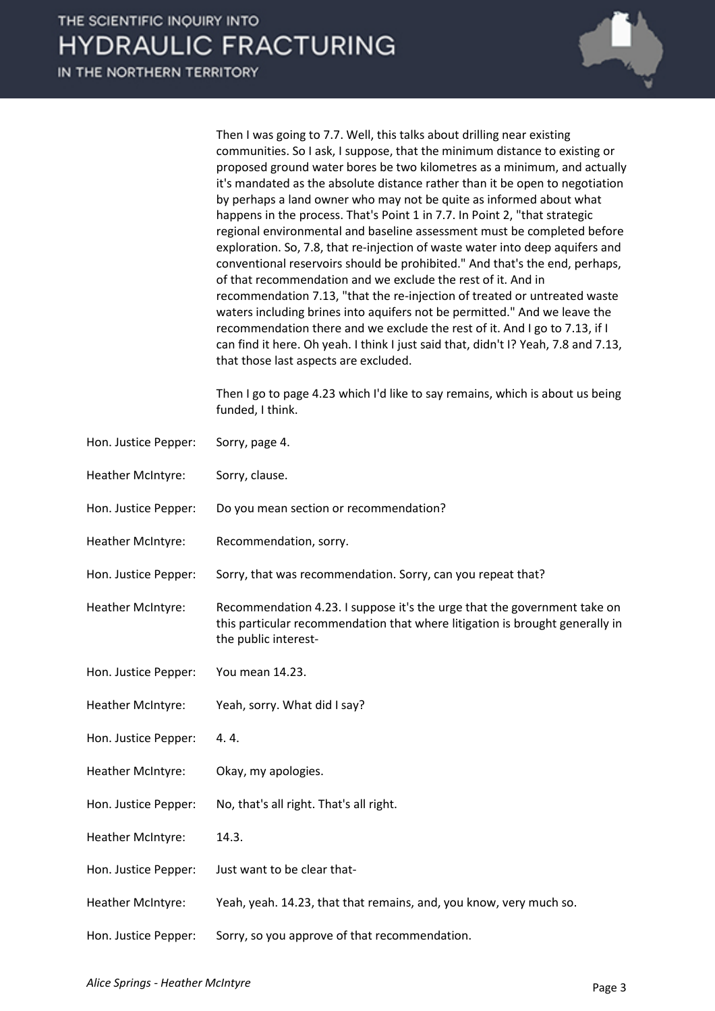|                      | Then I was going to 7.7. Well, this talks about drilling near existing<br>communities. So I ask, I suppose, that the minimum distance to existing or<br>proposed ground water bores be two kilometres as a minimum, and actually<br>it's mandated as the absolute distance rather than it be open to negotiation<br>by perhaps a land owner who may not be quite as informed about what<br>happens in the process. That's Point 1 in 7.7. In Point 2, "that strategic<br>regional environmental and baseline assessment must be completed before<br>exploration. So, 7.8, that re-injection of waste water into deep aquifers and<br>conventional reservoirs should be prohibited." And that's the end, perhaps,<br>of that recommendation and we exclude the rest of it. And in<br>recommendation 7.13, "that the re-injection of treated or untreated waste<br>waters including brines into aquifers not be permitted." And we leave the<br>recommendation there and we exclude the rest of it. And I go to 7.13, if I<br>can find it here. Oh yeah. I think I just said that, didn't I? Yeah, 7.8 and 7.13,<br>that those last aspects are excluded. |
|----------------------|---------------------------------------------------------------------------------------------------------------------------------------------------------------------------------------------------------------------------------------------------------------------------------------------------------------------------------------------------------------------------------------------------------------------------------------------------------------------------------------------------------------------------------------------------------------------------------------------------------------------------------------------------------------------------------------------------------------------------------------------------------------------------------------------------------------------------------------------------------------------------------------------------------------------------------------------------------------------------------------------------------------------------------------------------------------------------------------------------------------------------------------------------------|
|                      | Then I go to page 4.23 which I'd like to say remains, which is about us being<br>funded, I think.                                                                                                                                                                                                                                                                                                                                                                                                                                                                                                                                                                                                                                                                                                                                                                                                                                                                                                                                                                                                                                                       |
| Hon. Justice Pepper: | Sorry, page 4.                                                                                                                                                                                                                                                                                                                                                                                                                                                                                                                                                                                                                                                                                                                                                                                                                                                                                                                                                                                                                                                                                                                                          |
| Heather McIntyre:    | Sorry, clause.                                                                                                                                                                                                                                                                                                                                                                                                                                                                                                                                                                                                                                                                                                                                                                                                                                                                                                                                                                                                                                                                                                                                          |
| Hon. Justice Pepper: | Do you mean section or recommendation?                                                                                                                                                                                                                                                                                                                                                                                                                                                                                                                                                                                                                                                                                                                                                                                                                                                                                                                                                                                                                                                                                                                  |
| Heather McIntyre:    | Recommendation, sorry.                                                                                                                                                                                                                                                                                                                                                                                                                                                                                                                                                                                                                                                                                                                                                                                                                                                                                                                                                                                                                                                                                                                                  |
| Hon. Justice Pepper: | Sorry, that was recommendation. Sorry, can you repeat that?                                                                                                                                                                                                                                                                                                                                                                                                                                                                                                                                                                                                                                                                                                                                                                                                                                                                                                                                                                                                                                                                                             |
| Heather McIntyre:    | Recommendation 4.23. I suppose it's the urge that the government take on<br>this particular recommendation that where litigation is brought generally in<br>the public interest-                                                                                                                                                                                                                                                                                                                                                                                                                                                                                                                                                                                                                                                                                                                                                                                                                                                                                                                                                                        |
| Hon. Justice Pepper: | You mean 14.23.                                                                                                                                                                                                                                                                                                                                                                                                                                                                                                                                                                                                                                                                                                                                                                                                                                                                                                                                                                                                                                                                                                                                         |
| Heather McIntyre:    | Yeah, sorry. What did I say?                                                                                                                                                                                                                                                                                                                                                                                                                                                                                                                                                                                                                                                                                                                                                                                                                                                                                                                                                                                                                                                                                                                            |
| Hon. Justice Pepper: | 4.4.                                                                                                                                                                                                                                                                                                                                                                                                                                                                                                                                                                                                                                                                                                                                                                                                                                                                                                                                                                                                                                                                                                                                                    |
| Heather McIntyre:    | Okay, my apologies.                                                                                                                                                                                                                                                                                                                                                                                                                                                                                                                                                                                                                                                                                                                                                                                                                                                                                                                                                                                                                                                                                                                                     |
| Hon. Justice Pepper: | No, that's all right. That's all right.                                                                                                                                                                                                                                                                                                                                                                                                                                                                                                                                                                                                                                                                                                                                                                                                                                                                                                                                                                                                                                                                                                                 |
| Heather McIntyre:    | 14.3.                                                                                                                                                                                                                                                                                                                                                                                                                                                                                                                                                                                                                                                                                                                                                                                                                                                                                                                                                                                                                                                                                                                                                   |
| Hon. Justice Pepper: | Just want to be clear that-                                                                                                                                                                                                                                                                                                                                                                                                                                                                                                                                                                                                                                                                                                                                                                                                                                                                                                                                                                                                                                                                                                                             |
| Heather McIntyre:    | Yeah, yeah. 14.23, that that remains, and, you know, very much so.                                                                                                                                                                                                                                                                                                                                                                                                                                                                                                                                                                                                                                                                                                                                                                                                                                                                                                                                                                                                                                                                                      |
| Hon. Justice Pepper: | Sorry, so you approve of that recommendation.                                                                                                                                                                                                                                                                                                                                                                                                                                                                                                                                                                                                                                                                                                                                                                                                                                                                                                                                                                                                                                                                                                           |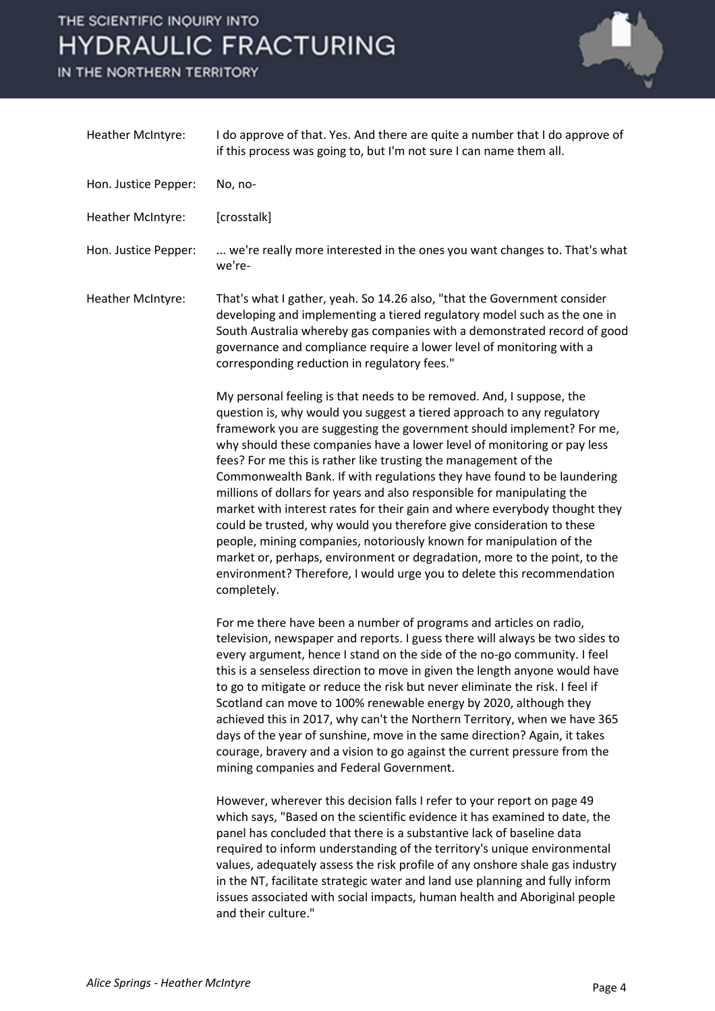# THE SCIENTIFIC INQUIRY INTO **HYDRAULIC FRACTURING**

IN THE NORTHERN TERRITORY



| Heather McIntyre:    | I do approve of that. Yes. And there are quite a number that I do approve of<br>if this process was going to, but I'm not sure I can name them all.                                                                                                                                                                                                                                                                                                                                                                                                                                                                                                                                                                                                                                                                                                                                                                             |
|----------------------|---------------------------------------------------------------------------------------------------------------------------------------------------------------------------------------------------------------------------------------------------------------------------------------------------------------------------------------------------------------------------------------------------------------------------------------------------------------------------------------------------------------------------------------------------------------------------------------------------------------------------------------------------------------------------------------------------------------------------------------------------------------------------------------------------------------------------------------------------------------------------------------------------------------------------------|
| Hon. Justice Pepper: | No, no-                                                                                                                                                                                                                                                                                                                                                                                                                                                                                                                                                                                                                                                                                                                                                                                                                                                                                                                         |
| Heather McIntyre:    | [crosstalk]                                                                                                                                                                                                                                                                                                                                                                                                                                                                                                                                                                                                                                                                                                                                                                                                                                                                                                                     |
| Hon. Justice Pepper: | we're really more interested in the ones you want changes to. That's what<br>we're-                                                                                                                                                                                                                                                                                                                                                                                                                                                                                                                                                                                                                                                                                                                                                                                                                                             |
| Heather McIntyre:    | That's what I gather, yeah. So 14.26 also, "that the Government consider<br>developing and implementing a tiered regulatory model such as the one in<br>South Australia whereby gas companies with a demonstrated record of good<br>governance and compliance require a lower level of monitoring with a<br>corresponding reduction in regulatory fees."                                                                                                                                                                                                                                                                                                                                                                                                                                                                                                                                                                        |
|                      | My personal feeling is that needs to be removed. And, I suppose, the<br>question is, why would you suggest a tiered approach to any regulatory<br>framework you are suggesting the government should implement? For me,<br>why should these companies have a lower level of monitoring or pay less<br>fees? For me this is rather like trusting the management of the<br>Commonwealth Bank. If with regulations they have found to be laundering<br>millions of dollars for years and also responsible for manipulating the<br>market with interest rates for their gain and where everybody thought they<br>could be trusted, why would you therefore give consideration to these<br>people, mining companies, notoriously known for manipulation of the<br>market or, perhaps, environment or degradation, more to the point, to the<br>environment? Therefore, I would urge you to delete this recommendation<br>completely. |
|                      | For me there have been a number of programs and articles on radio,<br>television, newspaper and reports. I guess there will always be two sides to<br>every argument, hence I stand on the side of the no-go community. I feel<br>this is a senseless direction to move in given the length anyone would have<br>to go to mitigate or reduce the risk but never eliminate the risk. I feel if<br>Scotland can move to 100% renewable energy by 2020, although they<br>achieved this in 2017, why can't the Northern Territory, when we have 365<br>days of the year of sunshine, move in the same direction? Again, it takes<br>courage, bravery and a vision to go against the current pressure from the<br>mining companies and Federal Government.                                                                                                                                                                           |
|                      | However, wherever this decision falls I refer to your report on page 49<br>which says, "Based on the scientific evidence it has examined to date, the<br>panel has concluded that there is a substantive lack of baseline data<br>required to inform understanding of the territory's unique environmental<br>values, adequately assess the risk profile of any onshore shale gas industry<br>in the NT, facilitate strategic water and land use planning and fully inform<br>issues associated with social impacts, human health and Aboriginal people<br>and their culture."                                                                                                                                                                                                                                                                                                                                                  |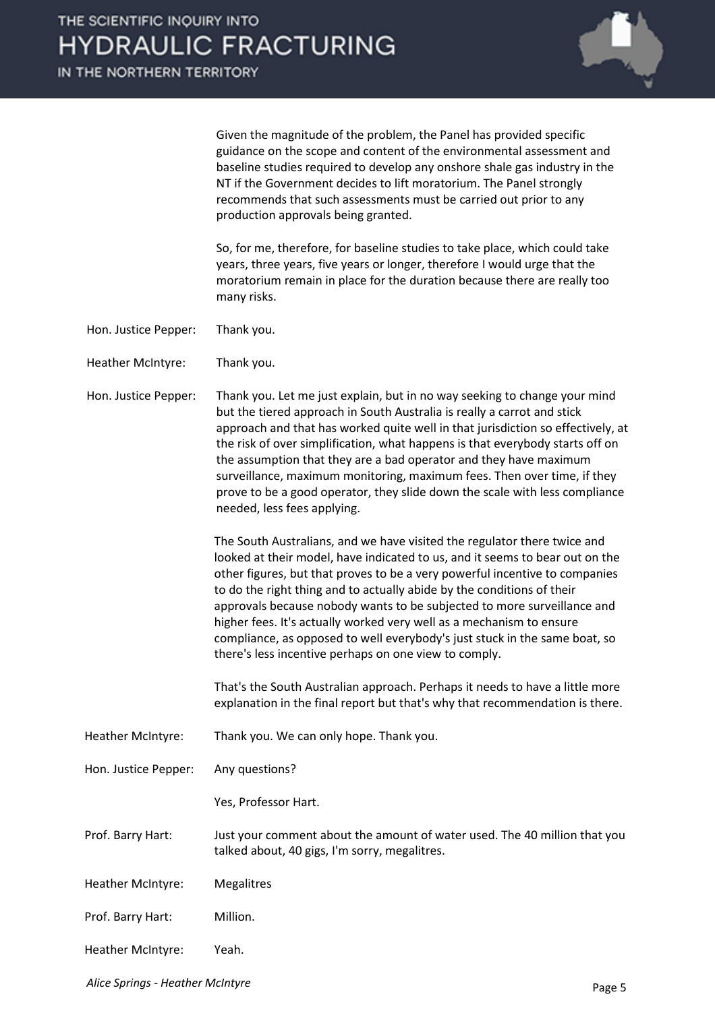

Given the magnitude of the problem, the Panel has provided specific guidance on the scope and content of the environmental assessment and baseline studies required to develop any onshore shale gas industry in the NT if the Government decides to lift moratorium. The Panel strongly recommends that such assessments must be carried out prior to any production approvals being granted.

So, for me, therefore, for baseline studies to take place, which could take years, three years, five years or longer, therefore I would urge that the moratorium remain in place for the duration because there are really too many risks.

- Hon. Justice Pepper: Thank you.
- Heather McIntyre: Thank you.
- Hon. Justice Pepper: Thank you. Let me just explain, but in no way seeking to change your mind but the tiered approach in South Australia is really a carrot and stick approach and that has worked quite well in that jurisdiction so effectively, at the risk of over simplification, what happens is that everybody starts off on the assumption that they are a bad operator and they have maximum surveillance, maximum monitoring, maximum fees. Then over time, if they prove to be a good operator, they slide down the scale with less compliance needed, less fees applying.

The South Australians, and we have visited the regulator there twice and looked at their model, have indicated to us, and it seems to bear out on the other figures, but that proves to be a very powerful incentive to companies to do the right thing and to actually abide by the conditions of their approvals because nobody wants to be subjected to more surveillance and higher fees. It's actually worked very well as a mechanism to ensure compliance, as opposed to well everybody's just stuck in the same boat, so there's less incentive perhaps on one view to comply.

That's the South Australian approach. Perhaps it needs to have a little more explanation in the final report but that's why that recommendation is there.

Heather McIntyre: Thank you. We can only hope. Thank you.

Hon. Justice Pepper: Any questions?

Yes, Professor Hart.

Prof. Barry Hart: Just your comment about the amount of water used. The 40 million that you talked about, 40 gigs, I'm sorry, megalitres.

- Heather McIntyre: Megalitres
- Prof. Barry Hart: Million.
- Heather McIntyre: Yeah.

*Alice Springs - Heather McIntyre* Page 5